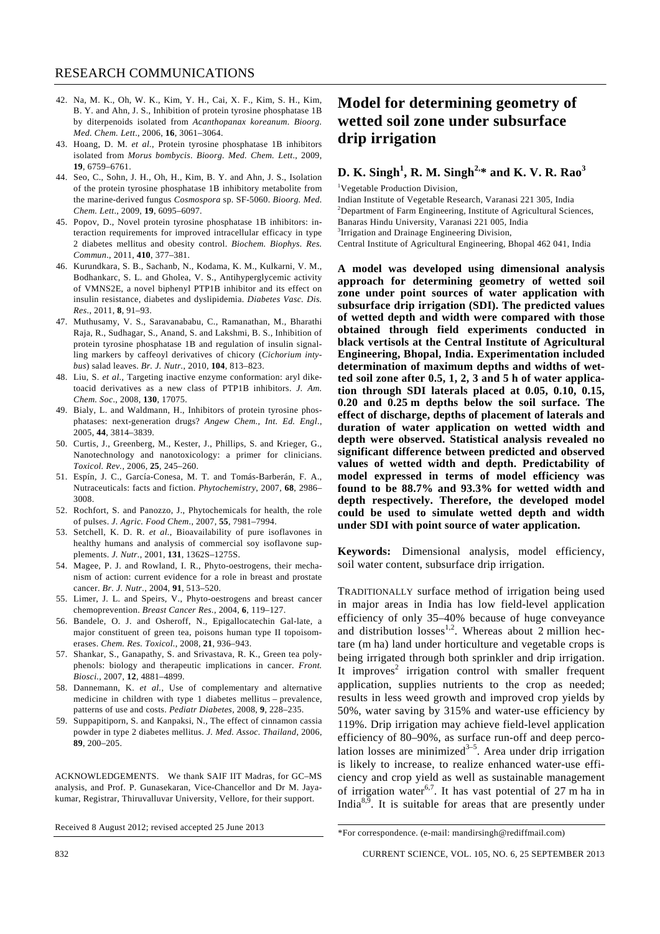- 42. Na, M. K., Oh, W. K., Kim, Y. H., Cai, X. F., Kim, S. H., Kim, B. Y. and Ahn, J. S., Inhibition of protein tyrosine phosphatase 1B by diterpenoids isolated from *Acanthopanax koreanum*. *Bioorg. Med. Chem. Lett*., 2006, **16**, 3061–3064.
- 43. Hoang, D. M. *et al.*, Protein tyrosine phosphatase 1B inhibitors isolated from *Morus bombycis*. *Bioorg. Med. Chem. Lett*., 2009, **19**, 6759–6761.
- 44. Seo, C., Sohn, J. H., Oh, H., Kim, B. Y. and Ahn, J. S., Isolation of the protein tyrosine phosphatase 1B inhibitory metabolite from the marine-derived fungus *Cosmospora* sp. SF-5060. *Bioorg. Med. Chem. Lett*., 2009, **19**, 6095–6097.
- 45. Popov, D., Novel protein tyrosine phosphatase 1B inhibitors: interaction requirements for improved intracellular efficacy in type 2 diabetes mellitus and obesity control. *Biochem. Biophys. Res. Commun*., 2011, **410**, 377–381.
- 46. Kurundkara, S. B., Sachanb, N., Kodama, K. M., Kulkarni, V. M., Bodhankarc, S. L. and Gholea, V. S., Antihyperglycemic activity of VMNS2E, a novel biphenyl PTP1B inhibitor and its effect on insulin resistance, diabetes and dyslipidemia. *Diabetes Vasc. Dis. Res*., 2011, **8**, 91–93.
- 47. Muthusamy, V. S., Saravanababu, C., Ramanathan, M., Bharathi Raja, R., Sudhagar, S., Anand, S. and Lakshmi, B. S., Inhibition of protein tyrosine phosphatase 1B and regulation of insulin signalling markers by caffeoyl derivatives of chicory (*Cichorium intybus*) salad leaves. *Br. J. Nutr.*, 2010, **104**, 813–823.
- 48. Liu, S. *et al.*, Targeting inactive enzyme conformation: aryl diketoacid derivatives as a new class of PTP1B inhibitors. *J. Am. Chem. Soc*., 2008, **130**, 17075.
- 49. Bialy, L. and Waldmann, H., Inhibitors of protein tyrosine phosphatases: next-generation drugs? *Angew Chem., Int. Ed. Engl*., 2005, **44**, 3814–3839.
- 50. Curtis, J., Greenberg, M., Kester, J., Phillips, S. and Krieger, G., Nanotechnology and nanotoxicology: a primer for clinicians. *Toxicol. Rev.*, 2006, **25**, 245–260.
- 51. Espín, J. C., García-Conesa, M. T. and Tomás-Barberán, F. A., Nutraceuticals: facts and fiction. *Phytochemistry*, 2007, **68**, 2986– 3008.
- 52. Rochfort, S. and Panozzo, J., Phytochemicals for health, the role of pulses. *J. Agric. Food Chem*., 2007, **55**, 7981–7994.
- 53. Setchell, K. D. R. *et al.*, Bioavailability of pure isoflavones in healthy humans and analysis of commercial soy isoflavone supplements. *J. Nutr.*, 2001, **131**, 1362S–1275S.
- 54. Magee, P. J. and Rowland, I. R., Phyto-oestrogens, their mechanism of action: current evidence for a role in breast and prostate cancer. *Br. J. Nutr.*, 2004, **91**, 513–520.
- 55. Limer, J. L. and Speirs, V., Phyto-oestrogens and breast cancer chemoprevention. *Breast Cancer Res.*, 2004, **6**, 119–127.
- 56. Bandele, O. J. and Osheroff, N., Epigallocatechin Gal-late, a major constituent of green tea, poisons human type II topoisomerases. *Chem. Res. Toxicol.*, 2008, **21**, 936–943.
- 57. Shankar, S., Ganapathy, S. and Srivastava, R. K., Green tea polyphenols: biology and therapeutic implications in cancer. *Front. Biosci.*, 2007, **12**, 4881–4899.
- 58. Dannemann, K. *et al.*, Use of complementary and alternative medicine in children with type 1 diabetes mellitus – prevalence, patterns of use and costs. *Pediatr Diabetes*, 2008, **9**, 228–235.
- 59. Suppapitiporn, S. and Kanpaksi, N., The effect of cinnamon cassia powder in type 2 diabetes mellitus. *J. Med. Assoc. Thailand*, 2006, **89**, 200–205.

ACKNOWLEDGEMENTS. We thank SAIF IIT Madras, for GC–MS analysis, and Prof. P. Gunasekaran, Vice-Chancellor and Dr M. Jayakumar, Registrar, Thiruvalluvar University, Vellore, for their support.

Received 8 August 2012; revised accepted 25 June 2013

## **Model for determining geometry of wetted soil zone under subsurface drip irrigation**

## **D. K. Singh<sup>1</sup> , R. M. Singh2,\* and K. V. R. Rao3**

<sup>1</sup>Vegetable Production Division,

Indian Institute of Vegetable Research, Varanasi 221 305, India <sup>2</sup>Department of Farm Engineering, Institute of Agricultural Sciences, Banaras Hindu University, Varanasi 221 005, India <sup>3</sup>Irrigation and Drainage Engineering Division, Central Institute of Agricultural Engineering, Bhopal 462 041, India

**A model was developed using dimensional analysis approach for determining geometry of wetted soil zone under point sources of water application with subsurface drip irrigation (SDI). The predicted values of wetted depth and width were compared with those obtained through field experiments conducted in black vertisols at the Central Institute of Agricultural Engineering, Bhopal, India. Experimentation included determination of maximum depths and widths of wetted soil zone after 0.5, 1, 2, 3 and 5 h of water application through SDI laterals placed at 0.05, 0.10, 0.15, 0.20 and 0.25 m depths below the soil surface. The effect of discharge, depths of placement of laterals and duration of water application on wetted width and depth were observed. Statistical analysis revealed no significant difference between predicted and observed values of wetted width and depth. Predictability of model expressed in terms of model efficiency was found to be 88.7% and 93.3% for wetted width and depth respectively. Therefore, the developed model could be used to simulate wetted depth and width under SDI with point source of water application.** 

**Keywords:** Dimensional analysis, model efficiency, soil water content, subsurface drip irrigation.

TRADITIONALLY surface method of irrigation being used in major areas in India has low field-level application efficiency of only 35–40% because of huge conveyance and distribution  $losses^{1,2}$ . Whereas about 2 million hectare (m ha) land under horticulture and vegetable crops is being irrigated through both sprinkler and drip irrigation. It improves<sup>2</sup> irrigation control with smaller frequent application, supplies nutrients to the crop as needed; results in less weed growth and improved crop yields by 50%, water saving by 315% and water-use efficiency by 119%. Drip irrigation may achieve field-level application efficiency of 80–90%, as surface run-off and deep percolation losses are minimized $3-5$ . Area under drip irrigation is likely to increase, to realize enhanced water-use efficiency and crop yield as well as sustainable management of irrigation water<sup>6,7</sup>. It has vast potential of 27 m ha in India<sup>8,9</sup>. It is suitable for areas that are presently under

<sup>\*</sup>For correspondence. (e-mail: mandirsingh@rediffmail.com)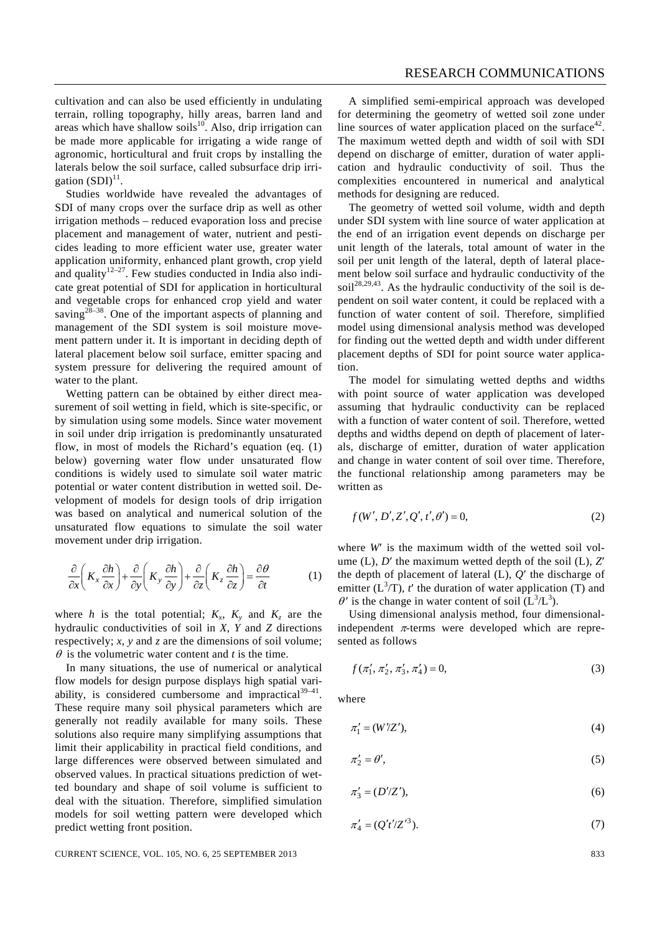cultivation and can also be used efficiently in undulating terrain, rolling topography, hilly areas, barren land and areas which have shallow soils $10$ . Also, drip irrigation can be made more applicable for irrigating a wide range of agronomic, horticultural and fruit crops by installing the laterals below the soil surface, called subsurface drip irrigation  $(SDI)^{11}$ .

 Studies worldwide have revealed the advantages of SDI of many crops over the surface drip as well as other irrigation methods – reduced evaporation loss and precise placement and management of water, nutrient and pesticides leading to more efficient water use, greater water application uniformity, enhanced plant growth, crop yield and quality $12-27$ . Few studies conducted in India also indicate great potential of SDI for application in horticultural and vegetable crops for enhanced crop yield and water saving<sup>28–38</sup>. One of the important aspects of planning and management of the SDI system is soil moisture movement pattern under it. It is important in deciding depth of lateral placement below soil surface, emitter spacing and system pressure for delivering the required amount of water to the plant.

 Wetting pattern can be obtained by either direct measurement of soil wetting in field, which is site-specific, or by simulation using some models. Since water movement in soil under drip irrigation is predominantly unsaturated flow, in most of models the Richard's equation (eq. (1) below) governing water flow under unsaturated flow conditions is widely used to simulate soil water matric potential or water content distribution in wetted soil. Development of models for design tools of drip irrigation was based on analytical and numerical solution of the unsaturated flow equations to simulate the soil water movement under drip irrigation.

$$
\frac{\partial}{\partial x}\left(K_x \frac{\partial h}{\partial x}\right) + \frac{\partial}{\partial y}\left(K_y \frac{\partial h}{\partial y}\right) + \frac{\partial}{\partial z}\left(K_z \frac{\partial h}{\partial z}\right) = \frac{\partial \theta}{\partial t}
$$
(1)

where *h* is the total potential;  $K_x$ ,  $K_y$  and  $K_z$  are the hydraulic conductivities of soil in *X*, *Y* and *Z* directions respectively; *x*, *y* and *z* are the dimensions of soil volume;  $\theta$  is the volumetric water content and *t* is the time.

 In many situations, the use of numerical or analytical flow models for design purpose displays high spatial variability, is considered cumbersome and impractical $39-41$ . These require many soil physical parameters which are generally not readily available for many soils. These solutions also require many simplifying assumptions that limit their applicability in practical field conditions, and large differences were observed between simulated and observed values. In practical situations prediction of wetted boundary and shape of soil volume is sufficient to deal with the situation. Therefore, simplified simulation models for soil wetting pattern were developed which predict wetting front position.

 A simplified semi-empirical approach was developed for determining the geometry of wetted soil zone under line sources of water application placed on the surface<sup>42</sup>. The maximum wetted depth and width of soil with SDI depend on discharge of emitter, duration of water application and hydraulic conductivity of soil. Thus the complexities encountered in numerical and analytical methods for designing are reduced.

 The geometry of wetted soil volume, width and depth under SDI system with line source of water application at the end of an irrigation event depends on discharge per unit length of the laterals, total amount of water in the soil per unit length of the lateral, depth of lateral placement below soil surface and hydraulic conductivity of the soil<sup>28,29,43</sup>. As the hydraulic conductivity of the soil is dependent on soil water content, it could be replaced with a function of water content of soil. Therefore, simplified model using dimensional analysis method was developed for finding out the wetted depth and width under different placement depths of SDI for point source water application.

 The model for simulating wetted depths and widths with point source of water application was developed assuming that hydraulic conductivity can be replaced with a function of water content of soil. Therefore, wetted depths and widths depend on depth of placement of laterals, discharge of emitter, duration of water application and change in water content of soil over time. Therefore, the functional relationship among parameters may be written as

$$
f(W', D', Z', Q', t', \theta') = 0,\tag{2}
$$

where *W'* is the maximum width of the wetted soil volume (L), *D*′ the maximum wetted depth of the soil (L), *Z*′ the depth of placement of lateral (L), *Q*′ the discharge of emitter  $(L^3/T)$ , *t'* the duration of water application (T) and  $\theta'$  is the change in water content of soil  $(L^3/L^3)$ .

 Using dimensional analysis method, four dimensionalindependent  $\pi$ -terms were developed which are represented as follows

$$
f(\pi'_1, \pi'_2, \pi'_3, \pi'_4) = 0,\t\t(3)
$$

where

$$
\pi_1' = (W'/Z'),\tag{4}
$$

$$
\pi_2' = \theta',\tag{5}
$$

$$
\pi_3' = (D'/Z'),\tag{6}
$$

$$
\pi_4' = (Q't'|Z'^3). \tag{7}
$$

CURRENT SCIENCE, VOL. 105, NO. 6, 25 SEPTEMBER 2013 833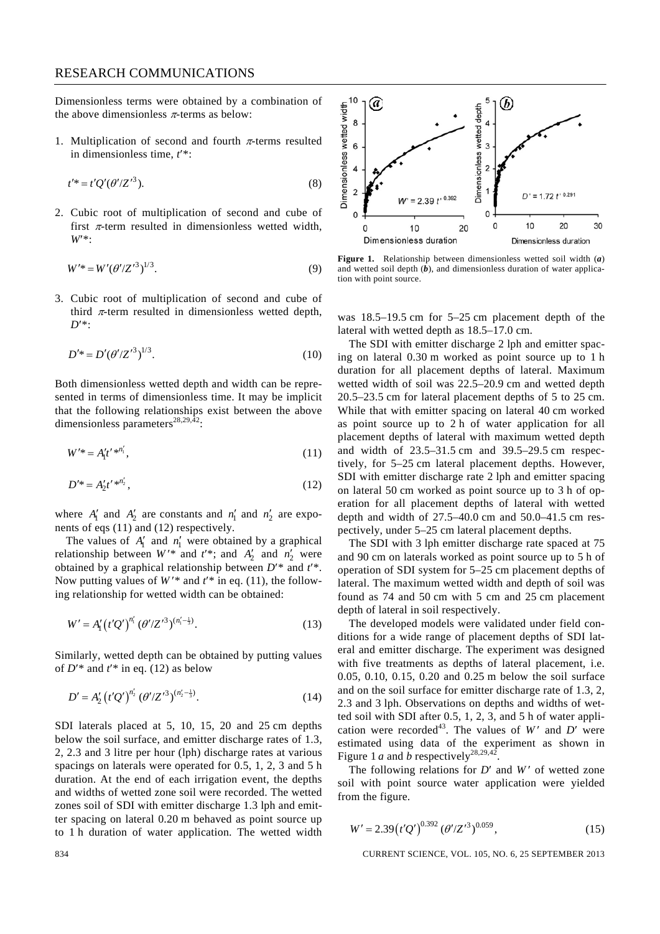Dimensionless terms were obtained by a combination of the above dimensionless  $\pi$ -terms as below:

1. Multiplication of second and fourth  $\pi$ -terms resulted in dimensionless time, *t*′\*:

$$
t'^* = t'Q'(\theta'/Z'^3).
$$
 (8)

2. Cubic root of multiplication of second and cube of first  $\pi$ -term resulted in dimensionless wetted width, *W*′\*:

$$
W'^* = W' (\theta'/Z'^3)^{1/3}.
$$
 (9)

3. Cubic root of multiplication of second and cube of third  $\pi$ -term resulted in dimensionless wetted depth, *D*′\*:

$$
D^{\prime *} = D^{\prime} (\theta^{\prime}/Z^{\prime 3})^{1/3}.
$$
 (10)

Both dimensionless wetted depth and width can be represented in terms of dimensionless time. It may be implicit that the following relationships exist between the above dimensionless parameters<sup>28,29,42</sup>:

$$
W'^{*} = A'_1 t'^{*n'_1}, \tag{11}
$$

$$
D'^{*} = A'_2 t'^{*n'_2},\tag{12}
$$

where  $A'_1$  and  $A'_2$  are constants and  $n'_1$  and  $n'_2$  are exponents of eqs (11) and (12) respectively.

The values of  $A'_1$  and  $n'_1$  were obtained by a graphical relationship between  $W^*$  and  $t^*$ ; and  $A'_2$  and  $n'_2$  were obtained by a graphical relationship between *D*′\* and *t*′\*. Now putting values of  $W^*$  and  $t^*$  in eq. (11), the following relationship for wetted width can be obtained:

$$
W' = A'_1 \left( t' Q' \right)^{n'_1} \left( \theta' / Z'^3 \right)^{(n'_1 - \frac{1}{3})}.
$$
 (13)

Similarly, wetted depth can be obtained by putting values of  $D'^*$  and  $t'^*$  in eq. (12) as below

$$
D' = A_2' \left( t'Q' \right)^{n_2'} \left( \theta' / Z'^3 \right)^{(n_2' - \frac{1}{3})}.
$$
 (14)

SDI laterals placed at 5, 10, 15, 20 and 25 cm depths below the soil surface, and emitter discharge rates of 1.3, 2, 2.3 and 3 litre per hour (lph) discharge rates at various spacings on laterals were operated for 0.5, 1, 2, 3 and 5 h duration. At the end of each irrigation event, the depths and widths of wetted zone soil were recorded. The wetted zones soil of SDI with emitter discharge 1.3 lph and emitter spacing on lateral 0.20 m behaved as point source up to 1 h duration of water application. The wetted width



**Figure 1.** Relationship between dimensionless wetted soil width (*a*) and wetted soil depth (*b*), and dimensionless duration of water application with point source.

was 18.5–19.5 cm for 5–25 cm placement depth of the lateral with wetted depth as 18.5–17.0 cm.

 The SDI with emitter discharge 2 lph and emitter spacing on lateral 0.30 m worked as point source up to 1 h duration for all placement depths of lateral. Maximum wetted width of soil was 22.5–20.9 cm and wetted depth 20.5–23.5 cm for lateral placement depths of 5 to 25 cm. While that with emitter spacing on lateral 40 cm worked as point source up to 2 h of water application for all placement depths of lateral with maximum wetted depth and width of 23.5–31.5 cm and 39.5–29.5 cm respectively, for 5–25 cm lateral placement depths. However, SDI with emitter discharge rate 2 lph and emitter spacing on lateral 50 cm worked as point source up to 3 h of operation for all placement depths of lateral with wetted depth and width of 27.5–40.0 cm and 50.0–41.5 cm respectively, under 5–25 cm lateral placement depths.

 The SDI with 3 lph emitter discharge rate spaced at 75 and 90 cm on laterals worked as point source up to 5 h of operation of SDI system for 5–25 cm placement depths of lateral. The maximum wetted width and depth of soil was found as 74 and 50 cm with 5 cm and 25 cm placement depth of lateral in soil respectively.

 The developed models were validated under field conditions for a wide range of placement depths of SDI lateral and emitter discharge. The experiment was designed with five treatments as depths of lateral placement, i.e. 0.05, 0.10, 0.15, 0.20 and 0.25 m below the soil surface and on the soil surface for emitter discharge rate of 1.3, 2, 2.3 and 3 lph. Observations on depths and widths of wetted soil with SDI after 0.5, 1, 2, 3, and 5 h of water application were recorded<sup>43</sup>. The values of  $W'$  and  $D'$  were estimated using data of the experiment as shown in Figure 1 *a* and *b* respectively<sup>28,29,42</sup>.

The following relations for *D'* and *W'* of wetted zone soil with point source water application were yielded from the figure.

$$
W' = 2.39 \left( t' Q' \right)^{0.392} \left( \theta' / Z'^3 \right)^{0.059},\tag{15}
$$

834 CURRENT SCIENCE, VOL. 105, NO. 6, 25 SEPTEMBER 2013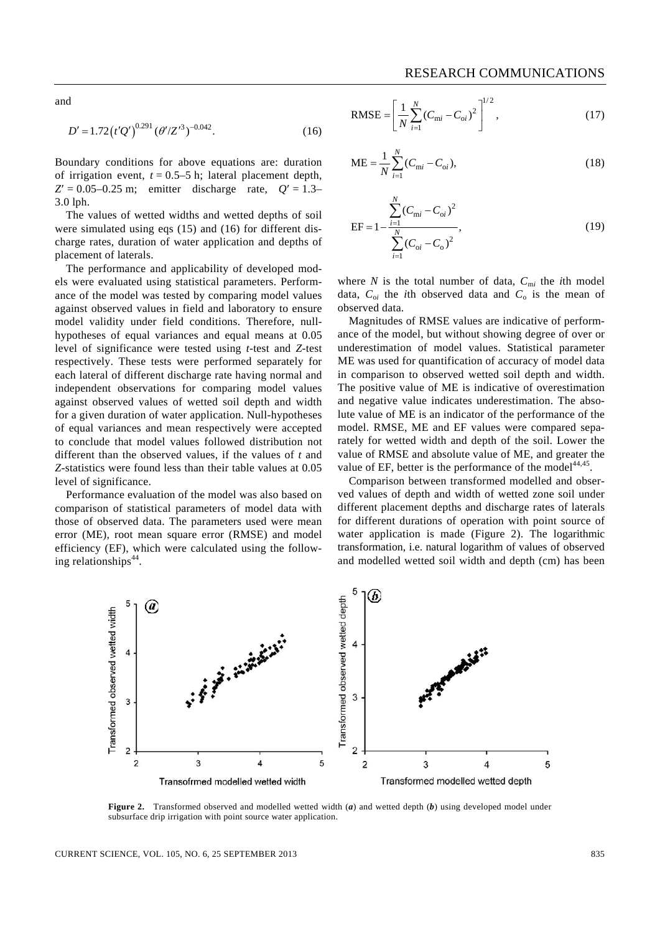and

$$
D' = 1.72 \left( t'Q' \right)^{0.291} \left( \theta' / Z'^3 \right)^{-0.042} . \tag{16}
$$

Boundary conditions for above equations are: duration of irrigation event,  $t = 0.5-5$  h; lateral placement depth,  $Z' = 0.05 - 0.25$  m; emitter discharge rate,  $Q' = 1.3 - 0.05$ 3.0 lph.

 The values of wetted widths and wetted depths of soil were simulated using eqs (15) and (16) for different discharge rates, duration of water application and depths of placement of laterals.

 The performance and applicability of developed models were evaluated using statistical parameters. Performance of the model was tested by comparing model values against observed values in field and laboratory to ensure model validity under field conditions. Therefore, nullhypotheses of equal variances and equal means at 0.05 level of significance were tested using *t*-test and *Z*-test respectively. These tests were performed separately for each lateral of different discharge rate having normal and independent observations for comparing model values against observed values of wetted soil depth and width for a given duration of water application. Null-hypotheses of equal variances and mean respectively were accepted to conclude that model values followed distribution not different than the observed values, if the values of *t* and *Z*-statistics were found less than their table values at 0.05 level of significance.

 Performance evaluation of the model was also based on comparison of statistical parameters of model data with those of observed data. The parameters used were mean error (ME), root mean square error (RMSE) and model efficiency (EF), which were calculated using the following relationships $44$ .

RMSE = 
$$
\left[\frac{1}{N} \sum_{i=1}^{N} (C_{\text{mi}} - C_{\text{oi}})^2\right]^{1/2},
$$
 (17)

$$
ME = \frac{1}{N} \sum_{i=1}^{N} (C_{mi} - C_{oi}),
$$
\n(18)

$$
EF = 1 - \frac{\sum_{i=1}^{N} (C_{mi} - C_{oi})^2}{\sum_{i=1}^{N} (C_{oi} - C_o)^2},
$$
\n(19)

where *N* is the total number of data,  $C_{mi}$  the *i*th model data,  $C_{oi}$  the *i*th observed data and  $C_o$  is the mean of observed data.

 Magnitudes of RMSE values are indicative of performance of the model, but without showing degree of over or underestimation of model values. Statistical parameter ME was used for quantification of accuracy of model data in comparison to observed wetted soil depth and width. The positive value of ME is indicative of overestimation and negative value indicates underestimation. The absolute value of ME is an indicator of the performance of the model. RMSE, ME and EF values were compared separately for wetted width and depth of the soil. Lower the value of RMSE and absolute value of ME, and greater the value of EF, better is the performance of the model<sup>44,45</sup>.

 Comparison between transformed modelled and observed values of depth and width of wetted zone soil under different placement depths and discharge rates of laterals for different durations of operation with point source of water application is made (Figure 2). The logarithmic transformation, i.e. natural logarithm of values of observed and modelled wetted soil width and depth (cm) has been



**Figure 2.** Transformed observed and modelled wetted width (*a*) and wetted depth (*b*) using developed model under subsurface drip irrigation with point source water application.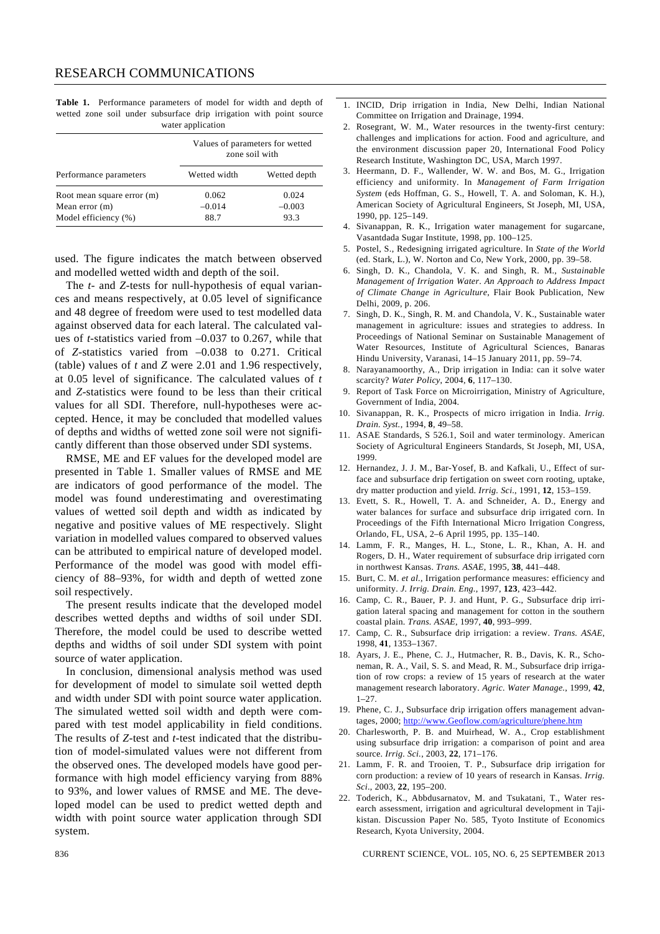**Table 1.** Performance parameters of model for width and depth of wetted zone soil under subsurface drip irrigation with point source water application

| Performance parameters     | Values of parameters for wetted<br>zone soil with |              |
|----------------------------|---------------------------------------------------|--------------|
|                            | Wetted width                                      | Wetted depth |
| Root mean square error (m) | 0.062                                             | 0.024        |
| Mean error $(m)$           | $-0.014$                                          | $-0.003$     |
| Model efficiency (%)       | 88.7                                              | 93.3         |

used. The figure indicates the match between observed and modelled wetted width and depth of the soil.

 The *t*- and *Z*-tests for null-hypothesis of equal variances and means respectively, at 0.05 level of significance and 48 degree of freedom were used to test modelled data against observed data for each lateral. The calculated values of *t*-statistics varied from –0.037 to 0.267, while that of *Z*-statistics varied from –0.038 to 0.271. Critical (table) values of *t* and *Z* were 2.01 and 1.96 respectively, at 0.05 level of significance. The calculated values of *t* and *Z-*statistics were found to be less than their critical values for all SDI. Therefore, null-hypotheses were accepted. Hence, it may be concluded that modelled values of depths and widths of wetted zone soil were not significantly different than those observed under SDI systems.

 RMSE, ME and EF values for the developed model are presented in Table 1. Smaller values of RMSE and ME are indicators of good performance of the model. The model was found underestimating and overestimating values of wetted soil depth and width as indicated by negative and positive values of ME respectively. Slight variation in modelled values compared to observed values can be attributed to empirical nature of developed model. Performance of the model was good with model efficiency of 88–93%, for width and depth of wetted zone soil respectively.

 The present results indicate that the developed model describes wetted depths and widths of soil under SDI. Therefore, the model could be used to describe wetted depths and widths of soil under SDI system with point source of water application.

 In conclusion, dimensional analysis method was used for development of model to simulate soil wetted depth and width under SDI with point source water application. The simulated wetted soil width and depth were compared with test model applicability in field conditions. The results of *Z*-test and *t*-test indicated that the distribution of model-simulated values were not different from the observed ones. The developed models have good performance with high model efficiency varying from 88% to 93%, and lower values of RMSE and ME. The developed model can be used to predict wetted depth and width with point source water application through SDI system.

- 1. INCID, Drip irrigation in India, New Delhi, Indian National Committee on Irrigation and Drainage, 1994.
- 2. Rosegrant, W. M., Water resources in the twenty-first century: challenges and implications for action. Food and agriculture, and the environment discussion paper 20, International Food Policy Research Institute, Washington DC, USA, March 1997.
- 3. Heermann, D. F., Wallender, W. W. and Bos, M. G., Irrigation efficiency and uniformity. In *Management of Farm Irrigation System* (eds Hoffman, G. S., Howell, T. A. and Soloman, K. H.), American Society of Agricultural Engineers, St Joseph, MI, USA, 1990, pp. 125–149.
- 4. Sivanappan, R. K., Irrigation water management for sugarcane, Vasantdada Sugar Institute, 1998, pp. 100–125.
- 5. Postel, S., Redesigning irrigated agriculture. In *State of the World*  (ed. Stark, L.), W. Norton and Co, New York, 2000, pp. 39–58.
- 6. Singh, D. K., Chandola, V. K. and Singh, R. M., *Sustainable Management of Irrigation Water*. *An Approach to Address Impact of Climate Change in Agriculture*, Flair Book Publication, New Delhi, 2009, p. 206.
- 7. Singh, D. K., Singh, R. M. and Chandola, V. K., Sustainable water management in agriculture: issues and strategies to address. In Proceedings of National Seminar on Sustainable Management of Water Resources, Institute of Agricultural Sciences, Banaras Hindu University, Varanasi, 14–15 January 2011, pp. 59–74.
- 8. Narayanamoorthy, A., Drip irrigation in India: can it solve water scarcity? *Water Policy*, 2004, **6**, 117–130.
- 9. Report of Task Force on Microirrigation, Ministry of Agriculture, Government of India, 2004.
- 10. Sivanappan, R. K., Prospects of micro irrigation in India. *Irrig. Drain. Syst.*, 1994, **8**, 49–58.
- 11. ASAE Standards, S 526.1, Soil and water terminology. American Society of Agricultural Engineers Standards, St Joseph, MI, USA, 1999.
- 12. Hernandez, J. J. M., Bar-Yosef, B. and Kafkali, U., Effect of surface and subsurface drip fertigation on sweet corn rooting, uptake, dry matter production and yield. *Irrig. Sci*., 1991, **12**, 153–159.
- 13. Evett, S. R., Howell, T. A. and Schneider, A. D., Energy and water balances for surface and subsurface drip irrigated corn. In Proceedings of the Fifth International Micro Irrigation Congress, Orlando, FL, USA, 2–6 April 1995, pp. 135–140.
- 14. Lamm, F. R., Manges, H. L., Stone, L. R., Khan, A. H. and Rogers, D. H., Water requirement of subsurface drip irrigated corn in northwest Kansas. *Trans. ASAE*, 1995, **38**, 441–448.
- 15. Burt, C. M. *et al.*, Irrigation performance measures: efficiency and uniformity. *J. Irrig. Drain. Eng.*, 1997, **123**, 423–442.
- 16. Camp, C. R., Bauer, P. J. and Hunt, P. G., Subsurface drip irrigation lateral spacing and management for cotton in the southern coastal plain. *Trans. ASAE*, 1997, **40**, 993–999.
- 17. Camp, C. R., Subsurface drip irrigation: a review. *Trans. ASAE*, 1998, **41**, 1353–1367.
- 18. Ayars, J. E., Phene, C. J., Hutmacher, R. B., Davis, K. R., Schoneman, R. A., Vail, S. S. and Mead, R. M., Subsurface drip irrigation of row crops: a review of 15 years of research at the water management research laboratory. *Agric. Water Manage.*, 1999, **42**, 1–27.
- 19. Phene, C. J., Subsurface drip irrigation offers management advantages, 2000; http://www.Geoflow.com/agriculture/phene.htm
- 20. Charlesworth, P. B. and Muirhead, W. A., Crop establishment using subsurface drip irrigation: a comparison of point and area source. *Irrig. Sci.*, 2003, **22**, 171–176.
- 21. Lamm, F. R. and Trooien, T. P., Subsurface drip irrigation for corn production: a review of 10 years of research in Kansas. *Irrig. Sci*., 2003, **22**, 195–200.
- 22. Toderich, K., Abbdusarnatov, M. and Tsukatani, T., Water research assessment, irrigation and agricultural development in Tajikistan. Discussion Paper No. 585, Tyoto Institute of Economics Research, Kyota University, 2004.

836 CURRENT SCIENCE, VOL. 105, NO. 6, 25 SEPTEMBER 2013